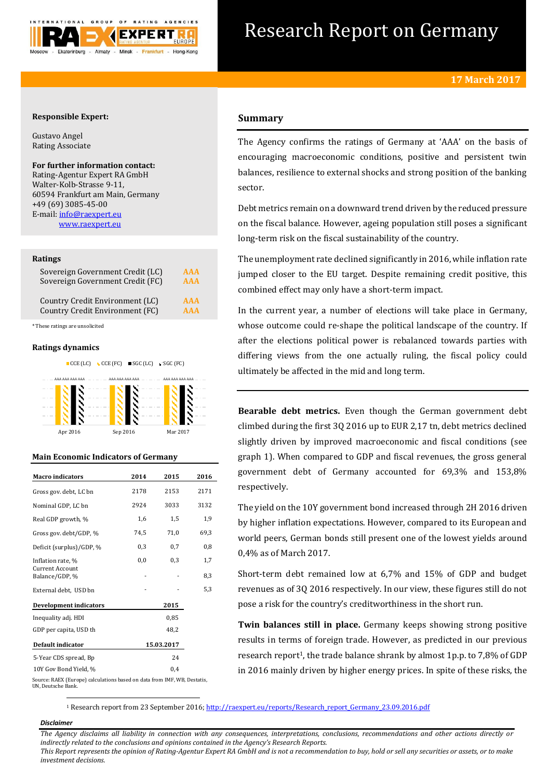

# Research Report on Germany

# **Responsible Expert:**

Gustavo Angel Rating Associate

# **For further information contact:**

Rating-Agentur Expert RA GmbH Walter-Kolb-Strasse 9-11, 60594 Frankfurt am Main, Germany +49 (69) 3085-45-00 E-mail[: info@raexpert.eu](mailto:info@raexpert.eu) [www.raexpert.eu](http://raexpert.eu/)

#### **Ratings**

| Sovereign Government Credit (LC) | AAA        |
|----------------------------------|------------|
| Sovereign Government Credit (FC) | <b>AAA</b> |
| Country Credit Environment (LC)  | <b>AAA</b> |
| Country Credit Environment (FC)  | <b>AAA</b> |

\* These ratings are unsolicited

## **Ratings dynamics**



Apr 2016 Sep 2016 Mar 2017

## **Main Economic Indicators of Germany**

| <b>Macro</b> indicators                                                  | 2014 | 2015       | 2016 |
|--------------------------------------------------------------------------|------|------------|------|
| Gross gov. debt, LC bn                                                   | 2178 | 2153       | 2171 |
| Nominal GDP, LC bn                                                       | 2924 | 3033       | 3132 |
| Real GDP growth, %                                                       | 1,6  | 1,5        | 1,9  |
| Gross gov. debt/GDP, %                                                   | 74,5 | 71,0       | 69,3 |
| Deficit (surplus)/GDP, %                                                 | 0,3  | 0,7        | 0,8  |
| Inflation rate, %                                                        | 0,0  | 0,3        | 1,7  |
| <b>Current Account</b><br>Balance/GDP, %                                 |      |            | 8,3  |
| External debt, USD bn                                                    |      |            | 5,3  |
| <b>Development indicators</b>                                            |      | 2015       |      |
| Inequality adj. HDI                                                      |      | 0,85       |      |
| GDP per capita, USD th                                                   |      | 48.2       |      |
| Default indicator                                                        |      | 15.03.2017 |      |
| 5-Year CDS spread, Bp                                                    |      | 24         |      |
| 10Y Gov Bond Yield, %                                                    |      | 0.4        |      |
| Source: RAEX (Europe) calculations based on data from IMF, WB, Destatis, |      |            |      |

UN, Deutsche Bank.

# **Summary**

The Agency confirms the ratings of Germany at 'AAA' on the basis of encouraging macroeconomic conditions, positive and persistent twin balances, resilience to external shocks and strong position of the banking sector.

Debt metrics remain on a downward trend driven by the reduced pressure on the fiscal balance. However, ageing population still poses a significant long-term risk on the fiscal sustainability of the country.

The unemployment rate declined significantly in 2016, while inflation rate jumped closer to the EU target. Despite remaining credit positive, this combined effect may only have a short-term impact.

In the current year, a number of elections will take place in Germany, whose outcome could re-shape the political landscape of the country. If after the elections political power is rebalanced towards parties with differing views from the one actually ruling, the fiscal policy could ultimately be affected in the mid and long term.

**Bearable debt metrics.** Even though the German government debt climbed during the first 3Q 2016 up to EUR 2,17 tn, debt metrics declined slightly driven by improved macroeconomic and fiscal conditions (see graph 1). When compared to GDP and fiscal revenues, the gross general government debt of Germany accounted for 69,3% and 153,8% respectively.

The yield on the 10Y government bond increased through 2H 2016 driven by higher inflation expectations. However, compared to its European and world peers, German bonds still present one of the lowest yields around 0,4% as of March 2017.

Short-term debt remained low at 6,7% and 15% of GDP and budget revenues as of 3Q 2016 respectively. In our view, these figures still do not pose a risk for the country's creditworthiness in the short run.

**Twin balances still in place.** Germany keeps showing strong positive results in terms of foreign trade. However, as predicted in our previous research report<sup>1</sup>, the trade balance shrank by almost 1p.p. to 7,8% of GDP in 2016 mainly driven by higher energy prices. In spite of these risks, the

<sup>1</sup> Research report from 23 September 2016[; http://raexpert.eu/reports/Research\\_report\\_Germany\\_23.09.2016.pdf](http://raexpert.eu/reports/Research_report_Germany_23.09.2016.pdf)

# *Disclaimer*

1

*The Agency disclaims all liability in connection with any consequences, interpretations, conclusions, recommendations and other actions directly or indirectly related to the conclusions and opinions contained in the Agency's Research Reports. This Report represents the opinion of Rating-Agentur Expert RA GmbH and is not a recommendation to buy, hold or sell any securities or assets, or to make* 

*investment decisions.*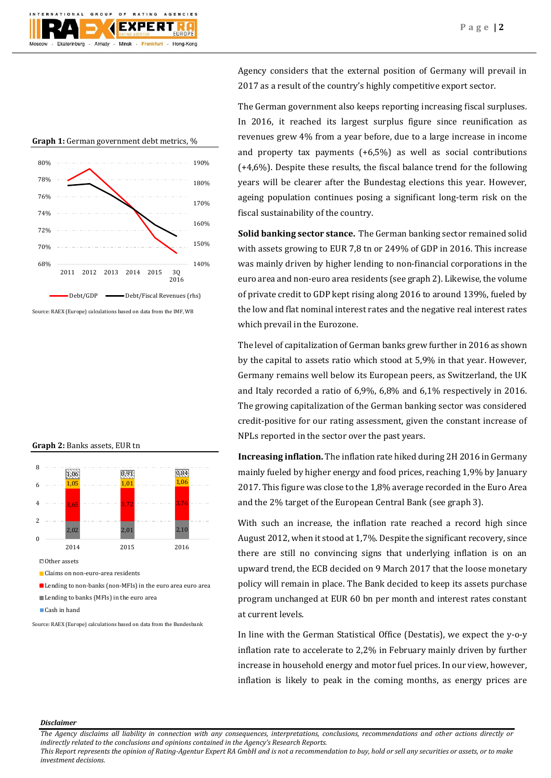

Agency considers that the external position of Germany will prevail in 2017 as a result of the country's highly competitive export sector.

The German government also keeps reporting increasing fiscal surpluses. In 2016, it reached its largest surplus figure since reunification as revenues grew 4% from a year before, due to a large increase in income and property tax payments (+6,5%) as well as social contributions  $(+4,6%)$ . Despite these results, the fiscal balance trend for the following years will be clearer after the Bundestag elections this year. However, ageing population continues posing a significant long-term risk on the fiscal sustainability of the country.

**Solid banking sector stance.** The German banking sector remained solid with assets growing to EUR 7,8 tn or 249% of GDP in 2016. This increase was mainly driven by higher lending to non-financial corporations in the euro area and non-euro area residents (see graph 2). Likewise, the volume of private credit to GDP kept rising along 2016 to around 139%, fueled by the low and flat nominal interest rates and the negative real interest rates which prevail in the Eurozone.

The level of capitalization of German banks grew further in 2016 as shown by the capital to assets ratio which stood at 5,9% in that year. However, Germany remains well below its European peers, as Switzerland, the UK and Italy recorded a ratio of 6,9%, 6,8% and 6,1% respectively in 2016. The growing capitalization of the German banking sector was considered credit-positive for our rating assessment, given the constant increase of NPLs reported in the sector over the past years.

**Increasing inflation.** The inflation rate hiked during 2H 2016 in Germany mainly fueled by higher energy and food prices, reaching 1,9% by January 2017. This figure was close to the 1,8% average recorded in the Euro Area and the 2% target of the European Central Bank (see graph 3).

With such an increase, the inflation rate reached a record high since August 2012, when it stood at 1,7%. Despite the significant recovery, since there are still no convincing signs that underlying inflation is on an upward trend, the ECB decided on 9 March 2017 that the loose monetary policy will remain in place. The Bank decided to keep its assets purchase program unchanged at EUR 60 bn per month and interest rates constant at current levels.

In line with the German Statistical Office (Destatis), we expect the y-o-y inflation rate to accelerate to 2,2% in February mainly driven by further increase in household energy and motor fuel prices. In our view, however, inflation is likely to peak in the coming months, as energy prices are

# **Graph 1:** German government debt metrics, %



Source: RAEX (Europe) calculations based on data from the IMF, WB

### **Graph 2:** Banks assets, EUR tn



Source: RAEX (Europe) calculations based on data from the Bundesbank

*Disclaimer* 

*This Report represents the opinion of Rating-Agentur Expert RA GmbH and is not a recommendation to buy, hold or sell any securities or assets, or to make investment decisions.*

*The Agency disclaims all liability in connection with any consequences, interpretations, conclusions, recommendations and other actions directly or indirectly related to the conclusions and opinions contained in the Agency's Research Reports.*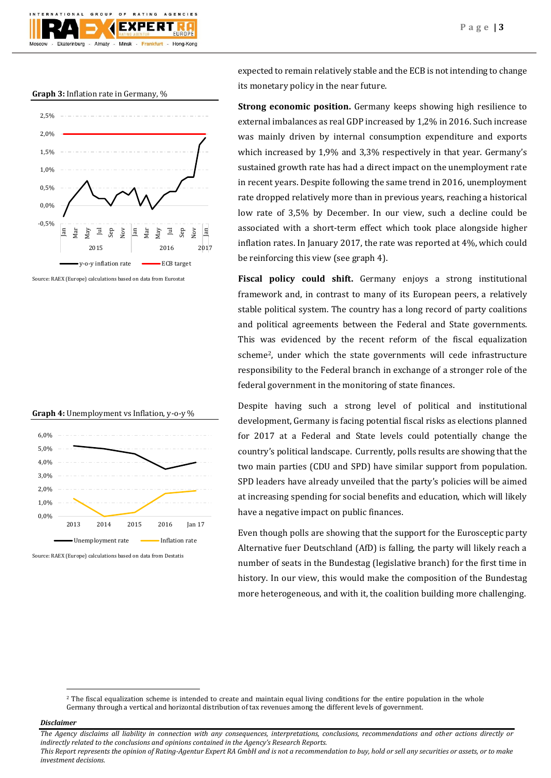

#### **Graph 3:** Inflation rate in Germany, %



Source: RAEX (Europe) calculations based on data from Eurostat





Source: RAEX (Europe) calculations based on data from Destatis

expected to remain relatively stable and the ECB is not intending to change its monetary policy in the near future.

**Strong economic position.** Germany keeps showing high resilience to external imbalances as real GDP increased by 1,2% in 2016. Such increase was mainly driven by internal consumption expenditure and exports which increased by 1,9% and 3,3% respectively in that year. Germany's sustained growth rate has had a direct impact on the unemployment rate in recent years. Despite following the same trend in 2016, unemployment rate dropped relatively more than in previous years, reaching a historical low rate of 3,5% by December. In our view, such a decline could be associated with a short-term effect which took place alongside higher inflation rates. In January 2017, the rate was reported at 4%, which could be reinforcing this view (see graph 4).

**Fiscal policy could shift.** Germany enjoys a strong institutional framework and, in contrast to many of its European peers, a relatively stable political system. The country has a long record of party coalitions and political agreements between the Federal and State governments. This was evidenced by the recent reform of the fiscal equalization scheme2, under which the state governments will cede infrastructure responsibility to the Federal branch in exchange of a stronger role of the federal government in the monitoring of state finances.

Despite having such a strong level of political and institutional development, Germany is facing potential fiscal risks as elections planned for 2017 at a Federal and State levels could potentially change the country's political landscape. Currently, polls results are showing that the two main parties (CDU and SPD) have similar support from population. SPD leaders have already unveiled that the party's policies will be aimed at increasing spending for social benefits and education, which will likely have a negative impact on public finances.

Even though polls are showing that the support for the Eurosceptic party Alternative fuer Deutschland (AfD) is falling, the party will likely reach a number of seats in the Bundestag (legislative branch) for the first time in history. In our view, this would make the composition of the Bundestag more heterogeneous, and with it, the coalition building more challenging.

#### *Disclaimer*

 $\overline{a}$ 

*The Agency disclaims all liability in connection with any consequences, interpretations, conclusions, recommendations and other actions directly or indirectly related to the conclusions and opinions contained in the Agency's Research Reports.*

*This Report represents the opinion of Rating-Agentur Expert RA GmbH and is not a recommendation to buy, hold or sell any securities or assets, or to make investment decisions.*

<sup>&</sup>lt;sup>2</sup> The fiscal equalization scheme is intended to create and maintain equal living conditions for the entire population in the whole Germany through a vertical and horizontal distribution of tax revenues among the different levels of government.